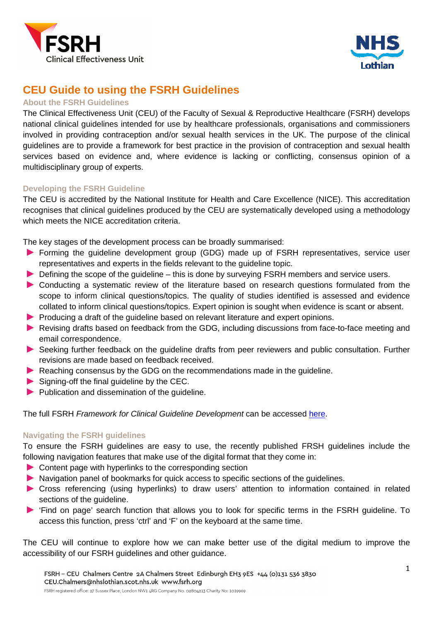



# **CEU Guide to using the FSRH Guidelines**

## **About the FSRH Guidelines**

The Clinical Effectiveness Unit (CEU) of the Faculty of Sexual & Reproductive Healthcare (FSRH) develops national clinical guidelines intended for use by healthcare professionals, organisations and commissioners involved in providing contraception and/or sexual health services in the UK. The purpose of the clinical guidelines are to provide a framework for best practice in the provision of contraception and sexual health services based on evidence and, where evidence is lacking or conflicting, consensus opinion of a multidisciplinary group of experts.

## **Developing the FSRH Guideline**

The CEU is accredited by the National Institute for Health and Care Excellence (NICE). This accreditation recognises that clinical guidelines produced by the CEU are systematically developed using a methodology which meets the NICE accreditation criteria.

The key stages of the development process can be broadly summarised:

- Forming the guideline development group (GDG) made up of FSRH representatives, service user representatives and experts in the fields relevant to the guideline topic.
- ▶ Defining the scope of the guideline this is done by surveying FSRH members and service users.
- Conducting a systematic review of the literature based on research questions formulated from the scope to inform clinical questions/topics. The quality of studies identified is assessed and evidence collated to inform clinical questions/topics. Expert opinion is sought when evidence is scant or absent.
- **Producing a draft of the guideline based on relevant literature and expert opinions.**
- ▶ Revising drafts based on feedback from the GDG, including discussions from face-to-face meeting and email correspondence.
- Seeking further feedback on the guideline drafts from peer reviewers and public consultation. Further revisions are made based on feedback received.
- Reaching consensus by the GDG on the recommendations made in the guideline.
- Signing-off the final guideline by the CEC.
- $\blacktriangleright$  Publication and dissemination of the quideline.

The full FSRH Framework for Clinical Guideline Development can be accessed here.

### **Navigating the FSRH guidelines**

To ensure the FSRH guidelines are easy to use, the recently published FRSH guidelines include the following navigation features that make use of the digital format that they come in:

- ▶ Content page with hyperlinks to the corresponding section
- Navigation panel of bookmarks for quick access to specific sections of the quidelines.
- Cross referencing (using hyperlinks) to draw users' attention to information contained in related sections of the guideline.
- 'Find on page' search function that allows you to look for specific terms in the FSRH guideline. To access this function, press 'ctrl' and 'F' on the keyboard at the same time.

The CEU will continue to explore how we can make better use of the digital medium to improve the accessibility of our FSRH guidelines and other guidance.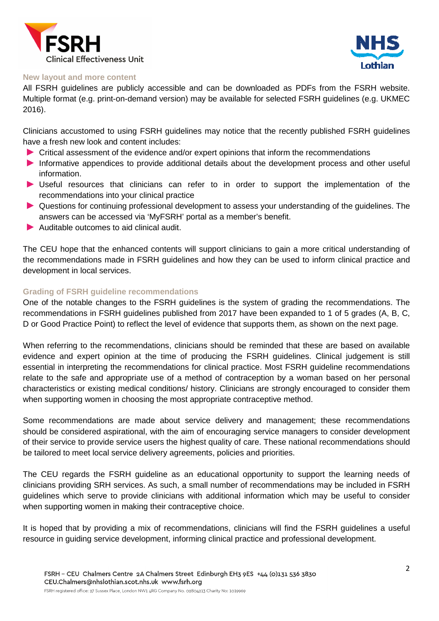



#### **New layout and more content**

All FSRH guidelines are publicly accessible and can be downloaded as PDFs from the FSRH website. Multiple format (e.g. print-on-demand version) may be available for selected FSRH guidelines (e.g. UKMEC 2016).

Clinicians accustomed to using FSRH guidelines may notice that the recently published FSRH guidelines have a fresh new look and content includes:

- Critical assessment of the evidence and/or expert opinions that inform the recommendations
- Informative appendices to provide additional details about the development process and other useful information.
- Useful resources that clinicians can refer to in order to support the implementation of the recommendations into your clinical practice
- Questions for continuing professional development to assess your understanding of the guidelines. The answers can be accessed via 'MyFSRH' portal as a member's benefit.
- Auditable outcomes to aid clinical audit.

The CEU hope that the enhanced contents will support clinicians to gain a more critical understanding of the recommendations made in FSRH guidelines and how they can be used to inform clinical practice and development in local services.

### **Grading of FSRH guideline recommendations**

One of the notable changes to the FSRH guidelines is the system of grading the recommendations. The recommendations in FSRH guidelines published from 2017 have been expanded to 1 of 5 grades (A, B, C, D or Good Practice Point) to reflect the level of evidence that supports them, as shown on the next page.

When referring to the recommendations, clinicians should be reminded that these are based on available evidence and expert opinion at the time of producing the FSRH guidelines. Clinical judgement is still essential in interpreting the recommendations for clinical practice. Most FSRH guideline recommendations relate to the safe and appropriate use of a method of contraception by a woman based on her personal characteristics or existing medical conditions/ history. Clinicians are strongly encouraged to consider them when supporting women in choosing the most appropriate contraceptive method.

Some recommendations are made about service delivery and management; these recommendations should be considered aspirational, with the aim of encouraging service managers to consider development of their service to provide service users the highest quality of care. These national recommendations should be tailored to meet local service delivery agreements, policies and priorities.

The CEU regards the FSRH guideline as an educational opportunity to support the learning needs of clinicians providing SRH services. As such, a small number of recommendations may be included in FSRH guidelines which serve to provide clinicians with additional information which may be useful to consider when supporting women in making their contraceptive choice.

It is hoped that by providing a mix of recommendations, clinicians will find the FSRH guidelines a useful resource in guiding service development, informing clinical practice and professional development.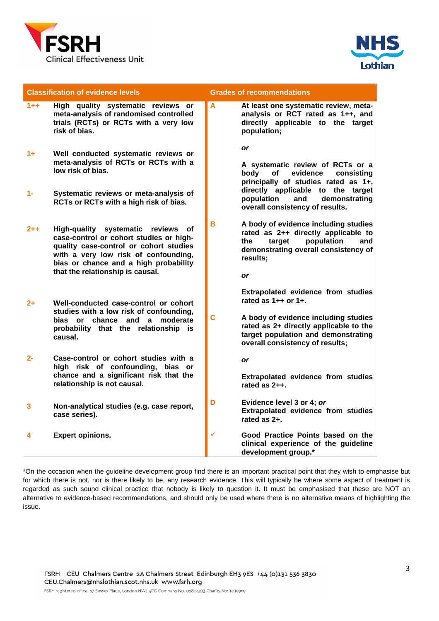



| <b>Classification of evidence levels</b> |                                                                                                                                                                                                                                              | <b>Grades of recommendations</b> |                                                                                                                                                                                                                                            |
|------------------------------------------|----------------------------------------------------------------------------------------------------------------------------------------------------------------------------------------------------------------------------------------------|----------------------------------|--------------------------------------------------------------------------------------------------------------------------------------------------------------------------------------------------------------------------------------------|
| $1 + +$                                  | High quality systematic reviews or<br>meta-analysis of randomised controlled<br>trials (RCTs) or RCTs with a very low<br>risk of bias.                                                                                                       | A                                | At least one systematic review, meta-<br>analysis or RCT rated as 1++, and<br>directly applicable to the target<br>population;                                                                                                             |
| $1+$<br>$1 -$                            | Well conducted systematic reviews or<br>meta-analysis of RCTs or RCTs with a<br>low risk of bias.<br>Systematic reviews or meta-analysis of<br>RCTs or RCTs with a high risk of bias.                                                        |                                  | <b>or</b><br>A systematic review of RCTs or a<br>of<br>evidence<br>body<br>consisting<br>principally of studies rated as 1+,<br>directly applicable to the target<br>population<br>demonstrating<br>and<br>overall consistency of results. |
| 2++                                      | High-quality systematic reviews of<br>case-control or cohort studies or high-<br>quality case-control or cohort studies<br>with a very low risk of confounding,<br>bias or chance and a high probability<br>that the relationship is causal. | B.                               | A body of evidence including studies<br>rated as 2++ directly applicable to<br>population<br>target<br>and<br>the<br>demonstrating overall consistency of<br>results;<br><b>or</b>                                                         |
| $2+$                                     | Well-conducted case-control or cohort<br>studies with a low risk of confounding,<br>bias or chance and a moderate<br>probability that the relationship is<br>causal.                                                                         | Ć                                | Extrapolated evidence from studies<br>rated as $1++$ or $1+.$<br>A body of evidence including studies<br>rated as 2+ directly applicable to the<br>target population and demonstrating<br>overall consistency of results;                  |
| $2 -$                                    | Case-control or cohort studies with a<br>high risk of confounding, bias or<br>chance and a significant risk that the<br>relationship is not causal.                                                                                          |                                  | <b>or</b><br>Extrapolated evidence from studies<br>rated as $2++$ .                                                                                                                                                                        |
| 3                                        | Non-analytical studies (e.g. case report,<br>case series).                                                                                                                                                                                   | D                                | Evidence level 3 or 4; or<br>Extrapolated evidence from studies<br>rated as $2+$ .                                                                                                                                                         |
| 4                                        | <b>Expert opinions.</b>                                                                                                                                                                                                                      | $\checkmark$                     | Good Practice Points based on the<br>clinical experience of the guideline<br>development group.*                                                                                                                                           |

\*On the occasion when the guideline development group find there is an important practical point that they wish to emphasise but for which there is not, nor is there likely to be, any research evidence. This will typically be where some aspect of treatment is regarded as such sound clinical practice that nobody is likely to question it. It must be emphasised that these are NOT an alternative to evidence-based recommendations, and should only be used where there is no alternative means of highlighting the issue.